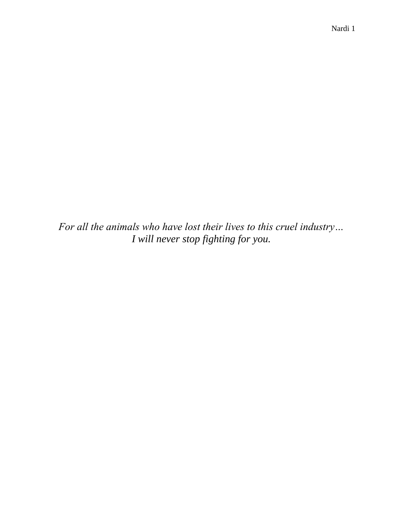*For all the animals who have lost their lives to this cruel industry… I will never stop fighting for you.*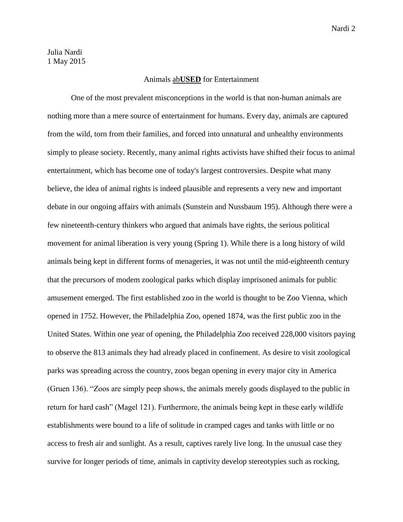## Animals ab**USED** for Entertainment

One of the most prevalent misconceptions in the world is that non-human animals are nothing more than a mere source of entertainment for humans. Every day, animals are captured from the wild, torn from their families, and forced into unnatural and unhealthy environments simply to please society. Recently, many animal rights activists have shifted their focus to animal entertainment, which has become one of today's largest controversies. Despite what many believe, the idea of animal rights is indeed plausible and represents a very new and important debate in our ongoing affairs with animals (Sunstein and Nussbaum 195). Although there were a few nineteenth-century thinkers who argued that animals have rights, the serious political movement for animal liberation is very young (Spring 1). While there is a long history of wild animals being kept in different forms of menageries, it was not until the mid-eighteenth century that the precursors of modem zoological parks which display imprisoned animals for public amusement emerged. The first established zoo in the world is thought to be Zoo Vienna, which opened in 1752. However, the Philadelphia Zoo, opened 1874, was the first public zoo in the United States. Within one year of opening, the Philadelphia Zoo received 228,000 visitors paying to observe the 813 animals they had already placed in confinement. As desire to visit zoological parks was spreading across the country, zoos began opening in every major city in America (Gruen 136). "Zoos are simply peep shows, the animals merely goods displayed to the public in return for hard cash" (Magel 121). Furthermore, the animals being kept in these early wildlife establishments were bound to a life of solitude in cramped cages and tanks with little or no access to fresh air and sunlight. As a result, captives rarely live long. In the unusual case they survive for longer periods of time, animals in captivity develop stereotypies such as rocking,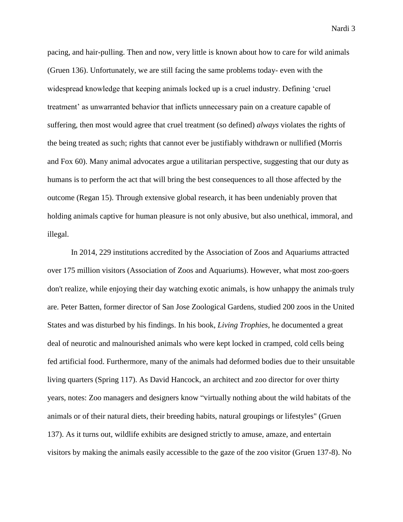pacing, and hair-pulling. Then and now, very little is known about how to care for wild animals (Gruen 136). Unfortunately, we are still facing the same problems today- even with the widespread knowledge that keeping animals locked up is a cruel industry. Defining 'cruel treatment' as unwarranted behavior that inflicts unnecessary pain on a creature capable of suffering, then most would agree that cruel treatment (so defined) *always* violates the rights of the being treated as such; rights that cannot ever be justifiably withdrawn or nullified (Morris and Fox 60). Many animal advocates argue a utilitarian perspective, suggesting that our duty as humans is to perform the act that will bring the best consequences to all those affected by the outcome (Regan 15). Through extensive global research, it has been undeniably proven that holding animals captive for human pleasure is not only abusive, but also unethical, immoral, and illegal.

In 2014, 229 institutions accredited by the Association of Zoos and Aquariums attracted over 175 million visitors (Association of Zoos and Aquariums). However, what most zoo-goers don't realize, while enjoying their day watching exotic animals, is how unhappy the animals truly are. Peter Batten, former director of San Jose Zoological Gardens, studied 200 zoos in the United States and was disturbed by his findings. In his book, *Living Trophies*, he documented a great deal of neurotic and malnourished animals who were kept locked in cramped, cold cells being fed artificial food. Furthermore, many of the animals had deformed bodies due to their unsuitable living quarters (Spring 117). As David Hancock, an architect and zoo director for over thirty years, notes: Zoo managers and designers know "virtually nothing about the wild habitats of the animals or of their natural diets, their breeding habits, natural groupings or lifestyles" (Gruen 137). As it turns out, wildlife exhibits are designed strictly to amuse, amaze, and entertain visitors by making the animals easily accessible to the gaze of the zoo visitor (Gruen 137-8). No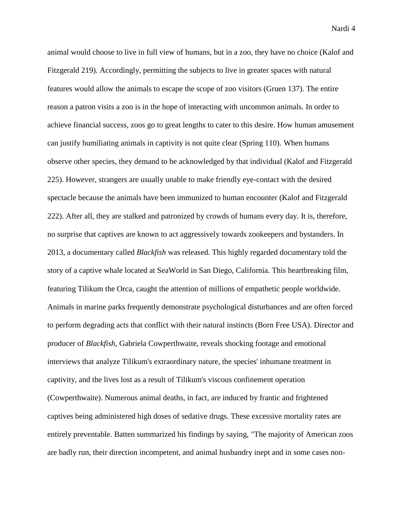animal would choose to live in full view of humans, but in a zoo, they have no choice (Kalof and Fitzgerald 219). Accordingly, permitting the subjects to live in greater spaces with natural features would allow the animals to escape the scope of zoo visitors (Gruen 137). The entire reason a patron visits a zoo is in the hope of interacting with uncommon animals. In order to achieve financial success, zoos go to great lengths to cater to this desire. How human amusement can justify humiliating animals in captivity is not quite clear (Spring 110). When humans observe other species, they demand to be acknowledged by that individual (Kalof and Fitzgerald 225). However, strangers are usually unable to make friendly eye-contact with the desired spectacle because the animals have been immunized to human encounter (Kalof and Fitzgerald 222). After all, they are stalked and patronized by crowds of humans every day. It is, therefore, no surprise that captives are known to act aggressively towards zookeepers and bystanders. In 2013, a documentary called *Blackfish* was released. This highly regarded documentary told the story of a captive whale located at SeaWorld in San Diego, California. This heartbreaking film, featuring Tilikum the Orca, caught the attention of millions of empathetic people worldwide. Animals in marine parks frequently demonstrate psychological disturbances and are often forced to perform degrading acts that conflict with their natural instincts (Born Free USA). Director and producer of *Blackfish*, Gabriela Cowperthwaite, reveals shocking footage and emotional interviews that analyze Tilikum's extraordinary nature, the species' inhumane treatment in captivity, and the lives lost as a result of Tilikum's viscous confinement operation (Cowperthwaite). Numerous animal deaths, in fact, are induced by frantic and frightened captives being administered high doses of sedative drugs. These excessive mortality rates are entirely preventable. Batten summarized his findings by saying, "The majority of American zoos are badly run, their direction incompetent, and animal husbandry inept and in some cases non-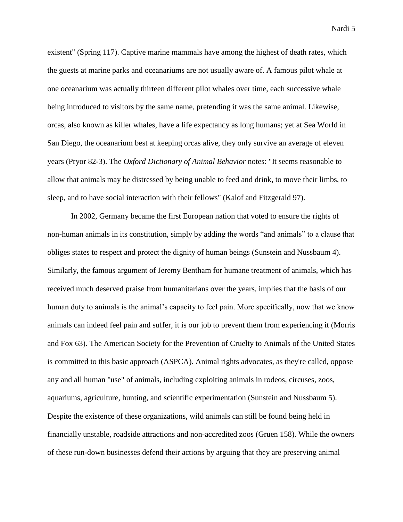existent" (Spring 117). Captive marine mammals have among the highest of death rates, which the guests at marine parks and oceanariums are not usually aware of. A famous pilot whale at one oceanarium was actually thirteen different pilot whales over time, each successive whale being introduced to visitors by the same name, pretending it was the same animal. Likewise, orcas, also known as killer whales, have a life expectancy as long humans; yet at Sea World in San Diego, the oceanarium best at keeping orcas alive, they only survive an average of eleven years (Pryor 82-3). The *Oxford Dictionary of Animal Behavior* notes: "It seems reasonable to allow that animals may be distressed by being unable to feed and drink, to move their limbs, to sleep, and to have social interaction with their fellows" (Kalof and Fitzgerald 97).

In 2002, Germany became the first European nation that voted to ensure the rights of non-human animals in its constitution, simply by adding the words "and animals" to a clause that obliges states to respect and protect the dignity of human beings (Sunstein and Nussbaum 4). Similarly, the famous argument of Jeremy Bentham for humane treatment of animals, which has received much deserved praise from humanitarians over the years, implies that the basis of our human duty to animals is the animal's capacity to feel pain. More specifically, now that we know animals can indeed feel pain and suffer, it is our job to prevent them from experiencing it (Morris and Fox 63). The American Society for the Prevention of Cruelty to Animals of the United States is committed to this basic approach (ASPCA). Animal rights advocates, as they're called, oppose any and all human "use" of animals, including exploiting animals in rodeos, circuses, zoos, aquariums, agriculture, hunting, and scientific experimentation (Sunstein and Nussbaum 5). Despite the existence of these organizations, wild animals can still be found being held in financially unstable, roadside attractions and non-accredited zoos (Gruen 158). While the owners of these run-down businesses defend their actions by arguing that they are preserving animal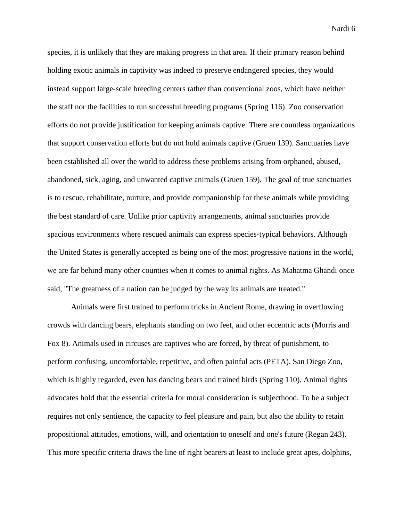species, it is unlikely that they are making progress in that area. If their primary reason behind holding exotic animals in captivity was indeed to preserve endangered species, they would instead support large-scale breeding centers rather than conventional zoos, which have neither the staff nor the facilities to run successful breeding programs (Spring 116). Zoo conservation efforts do not provide justification for keeping animals captive. There are countless organizations that support conservation efforts but do not hold animals captive (Gruen 139). Sanctuaries have been established all over the world to address these problems arising from orphaned, abused, abandoned, sick, aging, and unwanted captive animals (Gruen 159). The goal of true sanctuaries is to rescue, rehabilitate, nurture, and provide companionship for these animals while providing the best standard of care. Unlike prior captivity arrangements, animal sanctuaries provide spacious environments where rescued animals can express species-typical behaviors. Although the United States is generally accepted as being one of the most progressive nations in the world, we are far behind many other counties when it comes to animal rights. As Mahatma Ghandi once said, "The greatness of a nation can be judged by the way its animals are treated."

Animals were first trained to perform tricks in Ancient Rome, drawing in overflowing crowds with dancing bears, elephants standing on two feet, and other eccentric acts (Morris and Fox 8). Animals used in circuses are captives who are forced, by threat of punishment, to perform confusing, uncomfortable, repetitive, and often painful acts (PETA). San Diego Zoo, which is highly regarded, even has dancing bears and trained birds (Spring 110). Animal rights advocates hold that the essential criteria for moral consideration is subjecthood. To be a subject requires not only sentience, the capacity to feel pleasure and pain, but also the ability to retain propositional attitudes, emotions, will, and orientation to oneself and one's future (Regan 243). This more specific criteria draws the line of right bearers at least to include great apes, dolphins,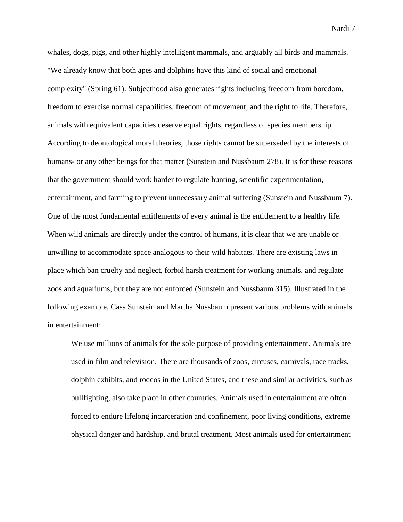whales, dogs, pigs, and other highly intelligent mammals, and arguably all birds and mammals. "We already know that both apes and dolphins have this kind of social and emotional complexity" (Spring 61). Subjecthood also generates rights including freedom from boredom, freedom to exercise normal capabilities, freedom of movement, and the right to life. Therefore, animals with equivalent capacities deserve equal rights, regardless of species membership. According to deontological moral theories, those rights cannot be superseded by the interests of humans- or any other beings for that matter (Sunstein and Nussbaum 278). It is for these reasons that the government should work harder to regulate hunting, scientific experimentation, entertainment, and farming to prevent unnecessary animal suffering (Sunstein and Nussbaum 7). One of the most fundamental entitlements of every animal is the entitlement to a healthy life. When wild animals are directly under the control of humans, it is clear that we are unable or unwilling to accommodate space analogous to their wild habitats. There are existing laws in place which ban cruelty and neglect, forbid harsh treatment for working animals, and regulate zoos and aquariums, but they are not enforced (Sunstein and Nussbaum 315). Illustrated in the following example, Cass Sunstein and Martha Nussbaum present various problems with animals in entertainment:

We use millions of animals for the sole purpose of providing entertainment. Animals are used in film and television. There are thousands of zoos, circuses, carnivals, race tracks, dolphin exhibits, and rodeos in the United States, and these and similar activities, such as bullfighting, also take place in other countries. Animals used in entertainment are often forced to endure lifelong incarceration and confinement, poor living conditions, extreme physical danger and hardship, and brutal treatment. Most animals used for entertainment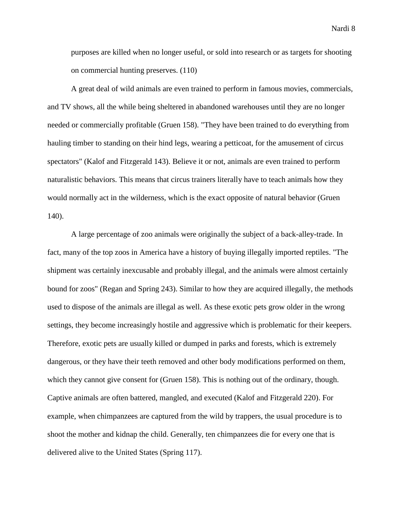purposes are killed when no longer useful, or sold into research or as targets for shooting on commercial hunting preserves. (110)

A great deal of wild animals are even trained to perform in famous movies, commercials, and TV shows, all the while being sheltered in abandoned warehouses until they are no longer needed or commercially profitable (Gruen 158). "They have been trained to do everything from hauling timber to standing on their hind legs, wearing a petticoat, for the amusement of circus spectators" (Kalof and Fitzgerald 143). Believe it or not, animals are even trained to perform naturalistic behaviors. This means that circus trainers literally have to teach animals how they would normally act in the wilderness, which is the exact opposite of natural behavior (Gruen 140).

A large percentage of zoo animals were originally the subject of a back-alley-trade. In fact, many of the top zoos in America have a history of buying illegally imported reptiles. "The shipment was certainly inexcusable and probably illegal, and the animals were almost certainly bound for zoos" (Regan and Spring 243). Similar to how they are acquired illegally, the methods used to dispose of the animals are illegal as well. As these exotic pets grow older in the wrong settings, they become increasingly hostile and aggressive which is problematic for their keepers. Therefore, exotic pets are usually killed or dumped in parks and forests, which is extremely dangerous, or they have their teeth removed and other body modifications performed on them, which they cannot give consent for (Gruen 158). This is nothing out of the ordinary, though. Captive animals are often battered, mangled, and executed (Kalof and Fitzgerald 220). For example, when chimpanzees are captured from the wild by trappers, the usual procedure is to shoot the mother and kidnap the child. Generally, ten chimpanzees die for every one that is delivered alive to the United States (Spring 117).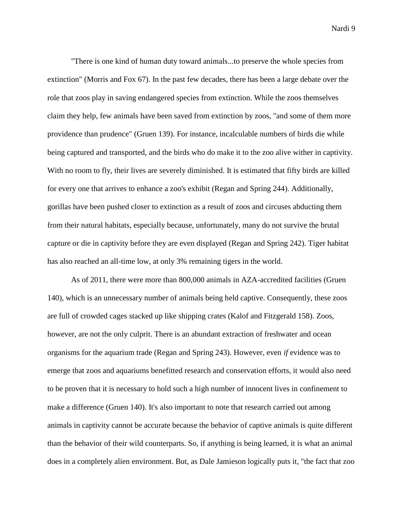"There is one kind of human duty toward animals...to preserve the whole species from extinction" (Morris and Fox 67). In the past few decades, there has been a large debate over the role that zoos play in saving endangered species from extinction. While the zoos themselves claim they help, few animals have been saved from extinction by zoos, "and some of them more providence than prudence" (Gruen 139). For instance, incalculable numbers of birds die while being captured and transported, and the birds who do make it to the zoo alive wither in captivity. With no room to fly, their lives are severely diminished. It is estimated that fifty birds are killed for every one that arrives to enhance a zoo's exhibit (Regan and Spring 244). Additionally, gorillas have been pushed closer to extinction as a result of zoos and circuses abducting them from their natural habitats, especially because, unfortunately, many do not survive the brutal capture or die in captivity before they are even displayed (Regan and Spring 242). Tiger habitat has also reached an all-time low, at only 3% remaining tigers in the world.

As of 2011, there were more than 800,000 animals in AZA-accredited facilities (Gruen 140), which is an unnecessary number of animals being held captive. Consequently, these zoos are full of crowded cages stacked up like shipping crates (Kalof and Fitzgerald 158). Zoos, however, are not the only culprit. There is an abundant extraction of freshwater and ocean organisms for the aquarium trade (Regan and Spring 243). However, even *if* evidence was to emerge that zoos and aquariums benefitted research and conservation efforts, it would also need to be proven that it is necessary to hold such a high number of innocent lives in confinement to make a difference (Gruen 140). It's also important to note that research carried out among animals in captivity cannot be accurate because the behavior of captive animals is quite different than the behavior of their wild counterparts. So, if anything is being learned, it is what an animal does in a completely alien environment. But, as Dale Jamieson logically puts it, "the fact that zoo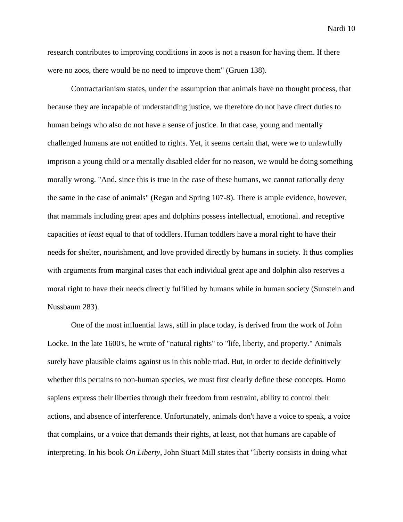research contributes to improving conditions in zoos is not a reason for having them. If there were no zoos, there would be no need to improve them" (Gruen 138).

Contractarianism states, under the assumption that animals have no thought process, that because they are incapable of understanding justice, we therefore do not have direct duties to human beings who also do not have a sense of justice. In that case, young and mentally challenged humans are not entitled to rights. Yet, it seems certain that, were we to unlawfully imprison a young child or a mentally disabled elder for no reason, we would be doing something morally wrong. "And, since this is true in the case of these humans, we cannot rationally deny the same in the case of animals" (Regan and Spring 107-8). There is ample evidence, however, that mammals including great apes and dolphins possess intellectual, emotional. and receptive capacities *at least* equal to that of toddlers. Human toddlers have a moral right to have their needs for shelter, nourishment, and love provided directly by humans in society. It thus complies with arguments from marginal cases that each individual great ape and dolphin also reserves a moral right to have their needs directly fulfilled by humans while in human society (Sunstein and Nussbaum 283).

One of the most influential laws, still in place today, is derived from the work of John Locke. In the late 1600's, he wrote of "natural rights" to "life, liberty, and property." Animals surely have plausible claims against us in this noble triad. But, in order to decide definitively whether this pertains to non-human species, we must first clearly define these concepts. Homo sapiens express their liberties through their freedom from restraint, ability to control their actions, and absence of interference. Unfortunately, animals don't have a voice to speak, a voice that complains, or a voice that demands their rights, at least, not that humans are capable of interpreting. In his book *On Liberty*, John Stuart Mill states that "liberty consists in doing what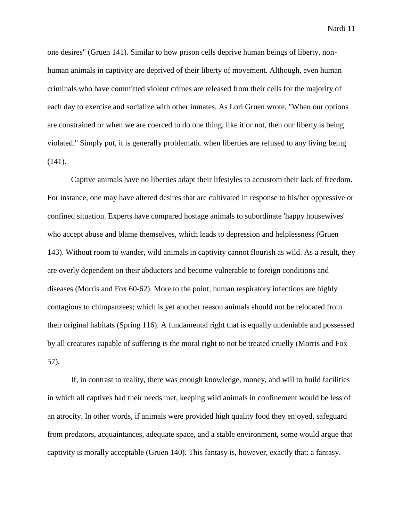one desires" (Gruen 141). Similar to how prison cells deprive human beings of liberty, nonhuman animals in captivity are deprived of their liberty of movement. Although, even human criminals who have committed violent crimes are released from their cells for the majority of each day to exercise and socialize with other inmates. As Lori Gruen wrote, "When our options are constrained or when we are coerced to do one thing, like it or not, then our liberty is being violated." Simply put, it is generally problematic when liberties are refused to any living being (141).

Captive animals have no liberties adapt their lifestyles to accustom their lack of freedom. For instance, one may have altered desires that are cultivated in response to his/her oppressive or confined situation. Experts have compared hostage animals to subordinate 'happy housewives' who accept abuse and blame themselves, which leads to depression and helplessness (Gruen 143). Without room to wander, wild animals in captivity cannot flourish as wild. As a result, they are overly dependent on their abductors and become vulnerable to foreign conditions and diseases (Morris and Fox 60-62). More to the point, human respiratory infections are highly contagious to chimpanzees; which is yet another reason animals should not be relocated from their original habitats (Spring 116). A fundamental right that is equally undeniable and possessed by all creatures capable of suffering is the moral right to not be treated cruelly (Morris and Fox 57).

If, in contrast to reality, there was enough knowledge, money, and will to build facilities in which all captives had their needs met, keeping wild animals in confinement would be less of an atrocity. In other words, if animals were provided high quality food they enjoyed, safeguard from predators, acquaintances, adequate space, and a stable environment, some would argue that captivity is morally acceptable (Gruen 140). This fantasy is, however, exactly that: a fantasy.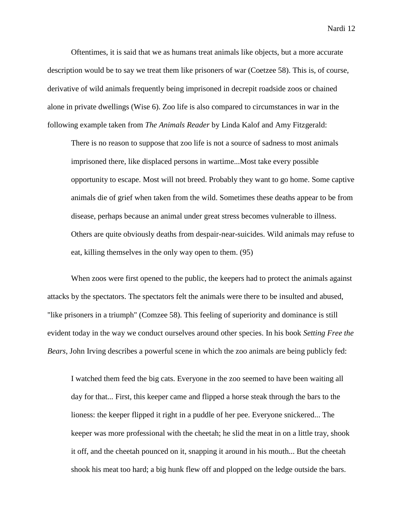Oftentimes, it is said that we as humans treat animals like objects, but a more accurate description would be to say we treat them like prisoners of war (Coetzee 58). This is, of course, derivative of wild animals frequently being imprisoned in decrepit roadside zoos or chained alone in private dwellings (Wise 6). Zoo life is also compared to circumstances in war in the following example taken from *The Animals Reader* by Linda Kalof and Amy Fitzgerald:

There is no reason to suppose that zoo life is not a source of sadness to most animals imprisoned there, like displaced persons in wartime...Most take every possible opportunity to escape. Most will not breed. Probably they want to go home. Some captive animals die of grief when taken from the wild. Sometimes these deaths appear to be from disease, perhaps because an animal under great stress becomes vulnerable to illness. Others are quite obviously deaths from despair-near-suicides. Wild animals may refuse to eat, killing themselves in the only way open to them. (95)

When zoos were first opened to the public, the keepers had to protect the animals against attacks by the spectators. The spectators felt the animals were there to be insulted and abused, "like prisoners in a triumph" (Comzee 58). This feeling of superiority and dominance is still evident today in the way we conduct ourselves around other species. In his book *Setting Free the Bears*, John Irving describes a powerful scene in which the zoo animals are being publicly fed:

I watched them feed the big cats. Everyone in the zoo seemed to have been waiting all day for that... First, this keeper came and flipped a horse steak through the bars to the lioness: the keeper flipped it right in a puddle of her pee. Everyone snickered... The keeper was more professional with the cheetah; he slid the meat in on a little tray, shook it off, and the cheetah pounced on it, snapping it around in his mouth... But the cheetah shook his meat too hard; a big hunk flew off and plopped on the ledge outside the bars.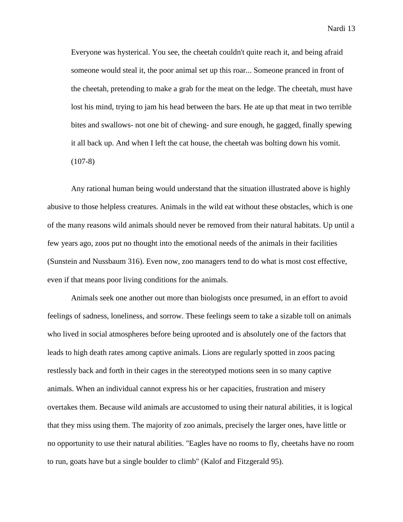Everyone was hysterical. You see, the cheetah couldn't quite reach it, and being afraid someone would steal it, the poor animal set up this roar... Someone pranced in front of the cheetah, pretending to make a grab for the meat on the ledge. The cheetah, must have lost his mind, trying to jam his head between the bars. He ate up that meat in two terrible bites and swallows- not one bit of chewing- and sure enough, he gagged, finally spewing it all back up. And when I left the cat house, the cheetah was bolting down his vomit.  $(107-8)$ 

Any rational human being would understand that the situation illustrated above is highly abusive to those helpless creatures. Animals in the wild eat without these obstacles, which is one of the many reasons wild animals should never be removed from their natural habitats. Up until a few years ago, zoos put no thought into the emotional needs of the animals in their facilities (Sunstein and Nussbaum 316). Even now, zoo managers tend to do what is most cost effective, even if that means poor living conditions for the animals.

Animals seek one another out more than biologists once presumed, in an effort to avoid feelings of sadness, loneliness, and sorrow. These feelings seem to take a sizable toll on animals who lived in social atmospheres before being uprooted and is absolutely one of the factors that leads to high death rates among captive animals. Lions are regularly spotted in zoos pacing restlessly back and forth in their cages in the stereotyped motions seen in so many captive animals. When an individual cannot express his or her capacities, frustration and misery overtakes them. Because wild animals are accustomed to using their natural abilities, it is logical that they miss using them. The majority of zoo animals, precisely the larger ones, have little or no opportunity to use their natural abilities. "Eagles have no rooms to fly, cheetahs have no room to run, goats have but a single boulder to climb" (Kalof and Fitzgerald 95).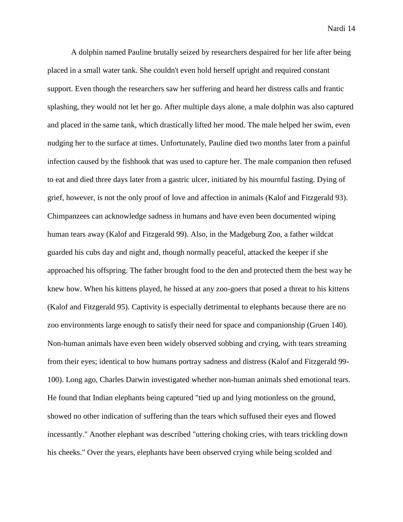A dolphin named Pauline brutally seized by researchers despaired for her life after being placed in a small water tank. She couldn't even hold herself upright and required constant support. Even though the researchers saw her suffering and heard her distress calls and frantic splashing, they would not let her go. After multiple days alone, a male dolphin was also captured and placed in the same tank, which drastically lifted her mood. The male helped her swim, even nudging her to the surface at times. Unfortunately, Pauline died two months later from a painful infection caused by the fishhook that was used to capture her. The male companion then refused to eat and died three days later from a gastric ulcer, initiated by his mournful fasting. Dying of grief, however, is not the only proof of love and affection in animals (Kalof and Fitzgerald 93). Chimpanzees can acknowledge sadness in humans and have even been documented wiping human tears away (Kalof and Fitzgerald 99). Also, in the Madgeburg Zoo, a father wildcat guarded his cubs day and night and, though normally peaceful, attacked the keeper if she approached his offspring. The father brought food to the den and protected them the best way he knew how. When his kittens played, he hissed at any zoo-goers that posed a threat to his kittens (Kalof and Fitzgerald 95). Captivity is especially detrimental to elephants because there are no zoo environments large enough to satisfy their need for space and companionship (Gruen 140). Non-human animals have even been widely observed sobbing and crying, with tears streaming from their eyes; identical to how humans portray sadness and distress (Kalof and Fitzgerald 99- 100). Long ago, Charles Darwin investigated whether non-human animals shed emotional tears. He found that Indian elephants being captured "tied up and lying motionless on the ground, showed no other indication of suffering than the tears which suffused their eyes and flowed incessantly." Another elephant was described "uttering choking cries, with tears trickling down his cheeks." Over the years, elephants have been observed crying while being scolded and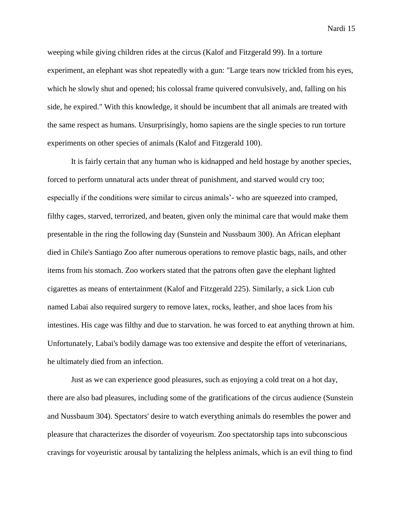weeping while giving children rides at the circus (Kalof and Fitzgerald 99). In a torture experiment, an elephant was shot repeatedly with a gun: "Large tears now trickled from his eyes, which he slowly shut and opened; his colossal frame quivered convulsively, and, falling on his side, he expired." With this knowledge, it should be incumbent that all animals are treated with the same respect as humans. Unsurprisingly, homo sapiens are the single species to run torture experiments on other species of animals (Kalof and Fitzgerald 100).

It is fairly certain that any human who is kidnapped and held hostage by another species, forced to perform unnatural acts under threat of punishment, and starved would cry too; especially if the conditions were similar to circus animals'- who are squeezed into cramped, filthy cages, starved, terrorized, and beaten, given only the minimal care that would make them presentable in the ring the following day (Sunstein and Nussbaum 300). An African elephant died in Chile's Santiago Zoo after numerous operations to remove plastic bags, nails, and other items from his stomach. Zoo workers stated that the patrons often gave the elephant lighted cigarettes as means of entertainment (Kalof and Fitzgerald 225). Similarly, a sick Lion cub named Labai also required surgery to remove latex, rocks, leather, and shoe laces from his intestines. His cage was filthy and due to starvation. he was forced to eat anything thrown at him. Unfortunately, Labai's bodily damage was too extensive and despite the effort of veterinarians, he ultimately died from an infection.

Just as we can experience good pleasures, such as enjoying a cold treat on a hot day, there are also bad pleasures, including some of the gratifications of the circus audience (Sunstein and Nussbaum 304). Spectators' desire to watch everything animals do resembles the power and pleasure that characterizes the disorder of voyeurism. Zoo spectatorship taps into subconscious cravings for voyeuristic arousal by tantalizing the helpless animals, which is an evil thing to find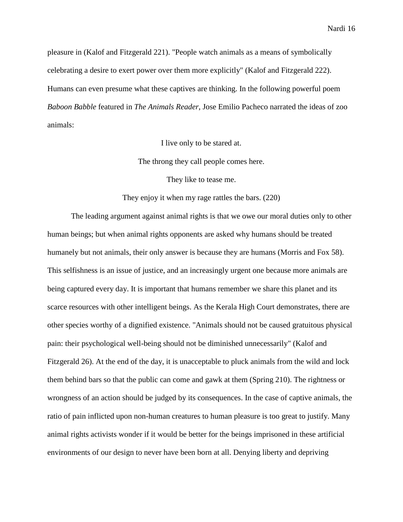pleasure in (Kalof and Fitzgerald 221). "People watch animals as a means of symbolically celebrating a desire to exert power over them more explicitly" (Kalof and Fitzgerald 222). Humans can even presume what these captives are thinking. In the following powerful poem *Baboon Babble* featured in *The Animals Reader*, Jose Emilio Pacheco narrated the ideas of zoo animals:

I live only to be stared at.

The throng they call people comes here.

They like to tease me.

They enjoy it when my rage rattles the bars. (220)

The leading argument against animal rights is that we owe our moral duties only to other human beings; but when animal rights opponents are asked why humans should be treated humanely but not animals, their only answer is because they are humans (Morris and Fox 58). This selfishness is an issue of justice, and an increasingly urgent one because more animals are being captured every day. It is important that humans remember we share this planet and its scarce resources with other intelligent beings. As the Kerala High Court demonstrates, there are other species worthy of a dignified existence. "Animals should not be caused gratuitous physical pain: their psychological well-being should not be diminished unnecessarily" (Kalof and Fitzgerald 26). At the end of the day, it is unacceptable to pluck animals from the wild and lock them behind bars so that the public can come and gawk at them (Spring 210). The rightness or wrongness of an action should be judged by its consequences. In the case of captive animals, the ratio of pain inflicted upon non-human creatures to human pleasure is too great to justify. Many animal rights activists wonder if it would be better for the beings imprisoned in these artificial environments of our design to never have been born at all. Denying liberty and depriving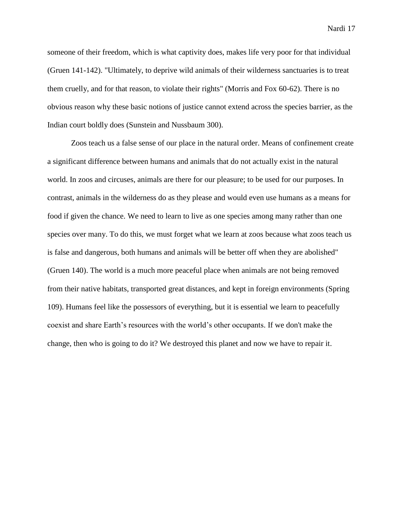someone of their freedom, which is what captivity does, makes life very poor for that individual (Gruen 141-142). "Ultimately, to deprive wild animals of their wilderness sanctuaries is to treat them cruelly, and for that reason, to violate their rights" (Morris and Fox 60-62). There is no obvious reason why these basic notions of justice cannot extend across the species barrier, as the Indian court boldly does (Sunstein and Nussbaum 300).

Zoos teach us a false sense of our place in the natural order. Means of confinement create a significant difference between humans and animals that do not actually exist in the natural world. In zoos and circuses, animals are there for our pleasure; to be used for our purposes. In contrast, animals in the wilderness do as they please and would even use humans as a means for food if given the chance. We need to learn to live as one species among many rather than one species over many. To do this, we must forget what we learn at zoos because what zoos teach us is false and dangerous, both humans and animals will be better off when they are abolished" (Gruen 140). The world is a much more peaceful place when animals are not being removed from their native habitats, transported great distances, and kept in foreign environments (Spring 109). Humans feel like the possessors of everything, but it is essential we learn to peacefully coexist and share Earth's resources with the world's other occupants. If we don't make the change, then who is going to do it? We destroyed this planet and now we have to repair it.